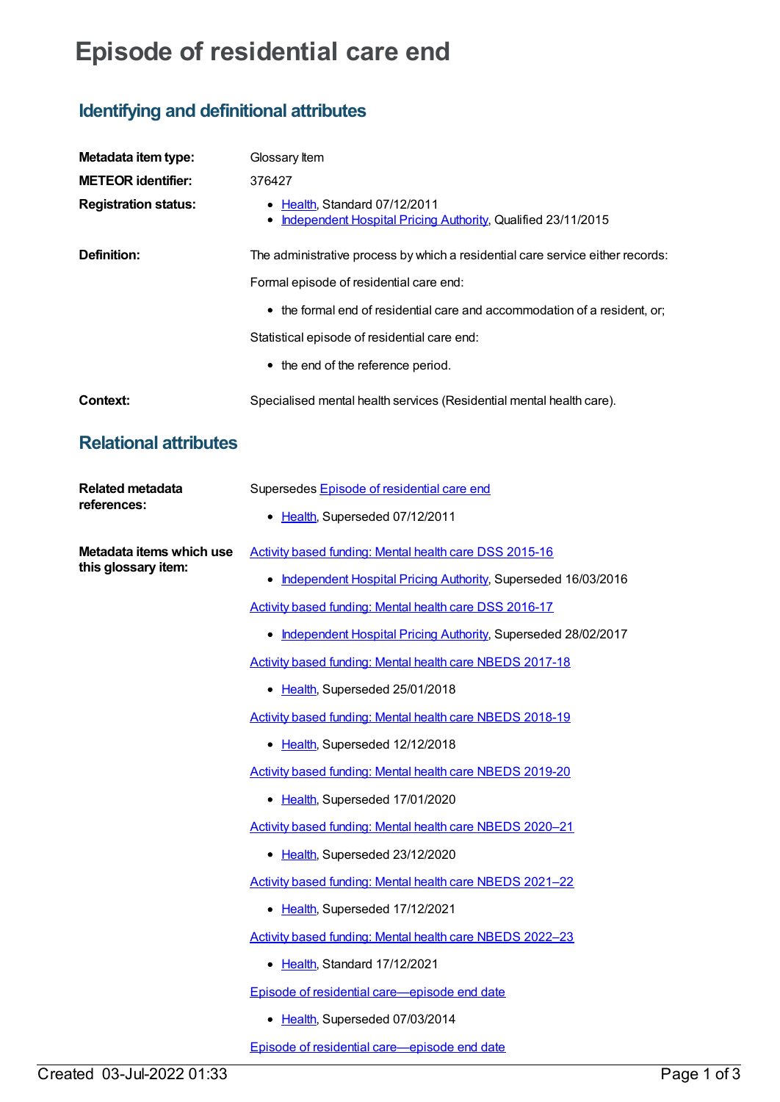## **Episode of residential care end**

## **Identifying and definitional attributes**

| Metadata item type:                             | Glossary Item                                                                                 |
|-------------------------------------------------|-----------------------------------------------------------------------------------------------|
| <b>METEOR identifier:</b>                       | 376427                                                                                        |
| <b>Registration status:</b>                     | • Health, Standard 07/12/2011<br>Independent Hospital Pricing Authority, Qualified 23/11/2015 |
| Definition:                                     | The administrative process by which a residential care service either records:                |
|                                                 | Formal episode of residential care end:                                                       |
|                                                 | • the formal end of residential care and accommodation of a resident, or;                     |
|                                                 | Statistical episode of residential care end:                                                  |
|                                                 | • the end of the reference period.                                                            |
| <b>Context:</b>                                 | Specialised mental health services (Residential mental health care).                          |
| <b>Relational attributes</b>                    |                                                                                               |
| <b>Related metadata</b><br>references:          | Supersedes Episode of residential care end                                                    |
|                                                 | • Health, Superseded 07/12/2011                                                               |
| Metadata items which use<br>this glossary item: | Activity based funding: Mental health care DSS 2015-16                                        |
|                                                 | • Independent Hospital Pricing Authority, Superseded 16/03/2016                               |
|                                                 | Activity based funding: Mental health care DSS 2016-17                                        |
|                                                 | • Independent Hospital Pricing Authority, Superseded 28/02/2017                               |
|                                                 | Activity based funding: Mental health care NBEDS 2017-18                                      |
|                                                 | • Health, Superseded 25/01/2018                                                               |
|                                                 | Activity based funding: Mental health care NBEDS 2018-19                                      |
|                                                 | • Health, Superseded 12/12/2018                                                               |
|                                                 | Activity based funding: Mental health care NBEDS 2019-20                                      |
|                                                 | • Health, Superseded 17/01/2020                                                               |
|                                                 | Activity based funding: Mental health care NBEDS 2020-21                                      |
|                                                 | • Health, Superseded 23/12/2020                                                               |
|                                                 | Activity based funding: Mental health care NBEDS 2021-22                                      |
|                                                 | • Health, Superseded 17/12/2021                                                               |
|                                                 | Activity based funding: Mental health care NBEDS 2022-23                                      |
|                                                 | • Health, Standard 17/12/2021                                                                 |
|                                                 | Episode of residential care-episode end date                                                  |
|                                                 | • Health, Superseded 07/03/2014                                                               |
|                                                 | Episode of residential care-episode end date                                                  |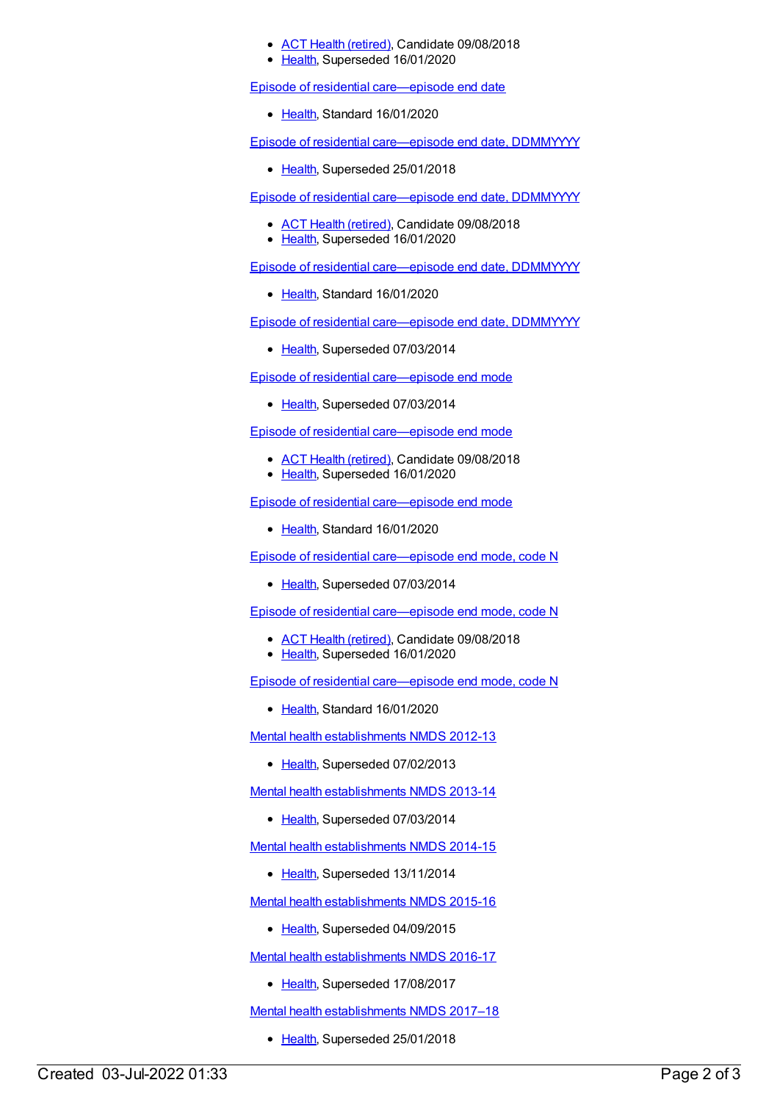## ACT Health [\(retired\)](https://meteor.aihw.gov.au/RegistrationAuthority/9), Candidate 09/08/2018

• [Health](https://meteor.aihw.gov.au/RegistrationAuthority/12), Superseded 16/01/2020

Episode of residential [care—episode](https://meteor.aihw.gov.au/content/723203) end date

• [Health](https://meteor.aihw.gov.au/RegistrationAuthority/12), Standard 16/01/2020

Episode of residential [care—episode](https://meteor.aihw.gov.au/content/534037) end date, DDMMYYYY

• [Health](https://meteor.aihw.gov.au/RegistrationAuthority/12), Superseded 25/01/2018

Episode of residential [care—episode](https://meteor.aihw.gov.au/content/685913) end date, DDMMYYYY

- ACT Health [\(retired\)](https://meteor.aihw.gov.au/RegistrationAuthority/9), Candidate 09/08/2018
- [Health](https://meteor.aihw.gov.au/RegistrationAuthority/12), Superseded 16/01/2020

Episode of residential [care—episode](https://meteor.aihw.gov.au/content/723189) end date, DDMMYYYY

• [Health](https://meteor.aihw.gov.au/RegistrationAuthority/12), Standard 16/01/2020

Episode of residential [care—episode](https://meteor.aihw.gov.au/content/417650) end date, DDMMYYYY

• [Health](https://meteor.aihw.gov.au/RegistrationAuthority/12), Superseded 07/03/2014

Episode of residential [care—episode](https://meteor.aihw.gov.au/content/417622) end mode

• [Health](https://meteor.aihw.gov.au/RegistrationAuthority/12), Superseded 07/03/2014

Episode of residential [care—episode](https://meteor.aihw.gov.au/content/533523) end mode

- ACT Health [\(retired\)](https://meteor.aihw.gov.au/RegistrationAuthority/9), Candidate 09/08/2018
- [Health](https://meteor.aihw.gov.au/RegistrationAuthority/12), Superseded 16/01/2020

Episode of residential [care—episode](https://meteor.aihw.gov.au/content/723206) end mode

• [Health](https://meteor.aihw.gov.au/RegistrationAuthority/12), Standard 16/01/2020

Episode of residential [care—episode](https://meteor.aihw.gov.au/content/417529) end mode, code N

• [Health](https://meteor.aihw.gov.au/RegistrationAuthority/12), Superseded 07/03/2014

Episode of residential [care—episode](https://meteor.aihw.gov.au/content/524966) end mode, code N

- ACT Health [\(retired\)](https://meteor.aihw.gov.au/RegistrationAuthority/9), Candidate 09/08/2018
- [Health](https://meteor.aihw.gov.au/RegistrationAuthority/12), Superseded 16/01/2020

Episode of residential [care—episode](https://meteor.aihw.gov.au/content/723192) end mode, code N

• [Health](https://meteor.aihw.gov.au/RegistrationAuthority/12), Standard 16/01/2020

Mental health [establishments](https://meteor.aihw.gov.au/content/468195) NMDS 2012-13

• [Health](https://meteor.aihw.gov.au/RegistrationAuthority/12), Superseded 07/02/2013

Mental health [establishments](https://meteor.aihw.gov.au/content/493652) NMDS 2013-14

• [Health](https://meteor.aihw.gov.au/RegistrationAuthority/12), Superseded 07/03/2014

Mental health [establishments](https://meteor.aihw.gov.au/content/546889) NMDS 2014-15

• [Health](https://meteor.aihw.gov.au/RegistrationAuthority/12), Superseded 13/11/2014

Mental health [establishments](https://meteor.aihw.gov.au/content/565661) NMDS 2015-16

• [Health](https://meteor.aihw.gov.au/RegistrationAuthority/12), Superseded 04/09/2015

Mental health [establishments](https://meteor.aihw.gov.au/content/605829) NMDS 2016-17

• [Health](https://meteor.aihw.gov.au/RegistrationAuthority/12), Superseded 17/08/2017

Mental health [establishments](https://meteor.aihw.gov.au/content/645723) NMDS 2017–18

• [Health](https://meteor.aihw.gov.au/RegistrationAuthority/12), Superseded 25/01/2018